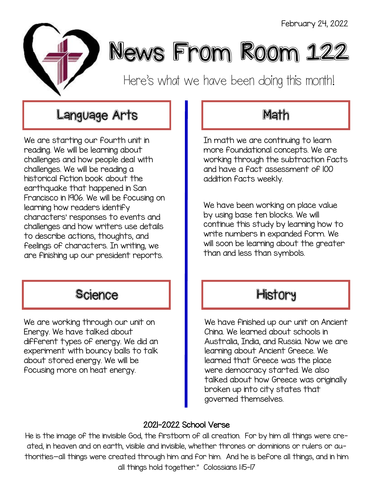

# News From Room 122

Here's what we have been doing this month!

# Language Arts **Math**

We are starting our fourth unit in reading. We will be learning about challenges and how people deal with challenges. We will be reading a historical fiction book about the earthquake that happened in San Francisco in 1906. We will be focusing on learning how readers identify characters' responses to events and challenges and how writers use details to describe actions, thoughts, and feelings of characters. In writing, we are finishing up our president reports.

# Science **History**

We are working through our unit on Energy. We have talked about different types of energy. We did an experiment with bouncy balls to talk about stored energy. We will be focusing more on heat energy.

In math we are continuing to learn more foundational concepts. We are working through the subtraction facts and have a fact assessment of 100 addition facts weekly.

We have been working on place value by using base ten blocks. We will continue this study by learning how to write numbers in expanded form. We will soon be learning about the greater than and less than symbols.

We have finished up our unit on Ancient China. We learned about schools in Australia, India, and Russia. Now we are learning about Ancient Greece. We learned that Greece was the place were democracy started. We also talked about how Greece was originally broken up into city states that governed themselves.

### 2021-2022 School Verse

He is the image of the invisible God, the firstborn of all creation. For by him all things were created, in heaven and on earth, visible and invisible, whether thrones or dominions or rulers or authorities—all things were created through him and for him. And he is before all things, and in him all things hold together." Colossians 1:15-17